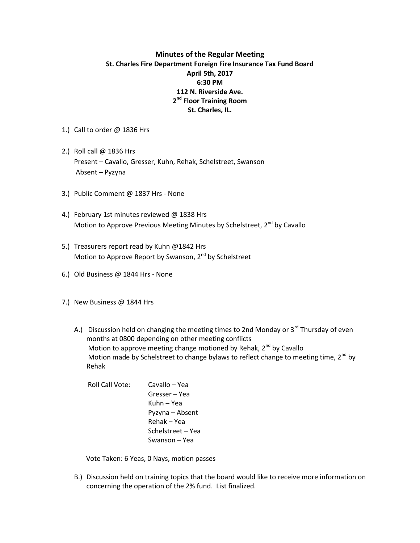## **Minutes of the Regular Meeting St. Charles Fire Department Foreign Fire Insurance Tax Fund Board April 5th, 2017 6:30 PM 112 N. Riverside Ave. 2 nd Floor Training Room St. Charles, IL.**

- 1.) Call to order @ 1836 Hrs
- 2.) Roll call @ 1836 Hrs Present – Cavallo, Gresser, Kuhn, Rehak, Schelstreet, Swanson Absent – Pyzyna
- 3.) Public Comment @ 1837 Hrs None
- 4.) February 1st minutes reviewed @ 1838 Hrs Motion to Approve Previous Meeting Minutes by Schelstreet, 2<sup>nd</sup> by Cavallo
- 5.) Treasurers report read by Kuhn @1842 Hrs Motion to Approve Report by Swanson, 2<sup>nd</sup> by Schelstreet
- 6.) Old Business @ 1844 Hrs None
- 7.) New Business @ 1844 Hrs
	- A.) Discussion held on changing the meeting times to 2nd Monday or  $3^{rd}$  Thursday of even months at 0800 depending on other meeting conflicts Motion to approve meeting change motioned by Rehak,  $2^{nd}$  by Cavallo Motion made by Schelstreet to change bylaws to reflect change to meeting time,  $2^{nd}$  by Rehak
		- Roll Call Vote: Cavallo Yea Gresser – Yea Kuhn – Yea Pyzyna – Absent Rehak – Yea Schelstreet – Yea Swanson – Yea

Vote Taken: 6 Yeas, 0 Nays, motion passes

B.) Discussion held on training topics that the board would like to receive more information on concerning the operation of the 2% fund. List finalized.